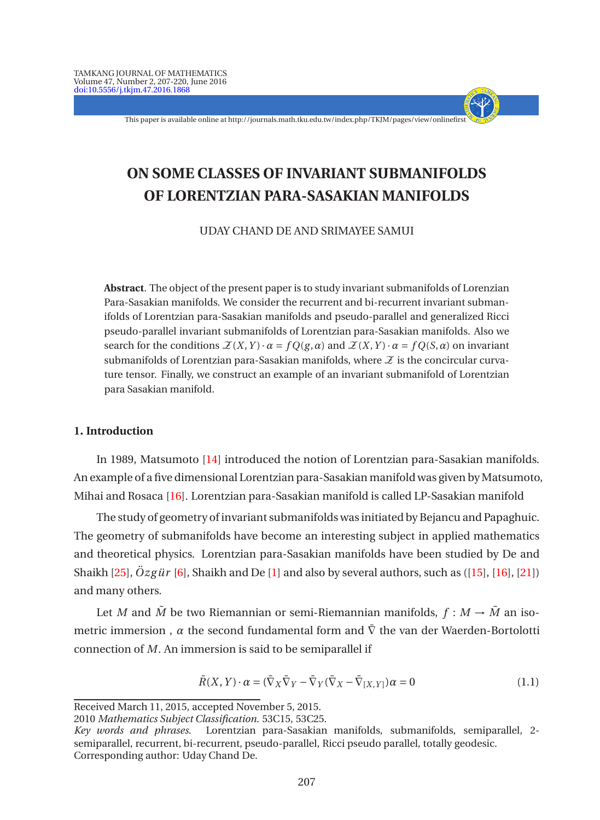This paper is available online at http://journals.math.tku.edu.tw/index.php/TKJM/pages/view/onlinefirst

- + - - - -

# **ON SOME CLASSES OF INVARIANT SUBMANIFOLDS OF LORENTZIAN PARA-SASAKIAN MANIFOLDS**

UDAY CHAND DE AND SRIMAYEE SAMUI

**Abstract**. The object of the present paper is to study invariant submanifolds of Lorenzian Para-Sasakian manifolds. We consider the recurrent and bi-recurrent invariant submanifolds of Lorentzian para-Sasakian manifolds and pseudo-parallel and generalized Ricci pseudo-parallel invariant submanifolds of Lorentzian para-Sasakian manifolds. Also we search for the conditions  $\mathcal{Z}(X,Y) \cdot \alpha = f Q(g, \alpha)$  and  $\mathcal{Z}(X,Y) \cdot \alpha = f Q(S, \alpha)$  on invariant submanifolds of Lorentzian para-Sasakian manifolds, where  $\mathcal X$  is the concircular curvature tensor. Finally, we construct an example of an invariant submanifold of Lorentzian para Sasakian manifold.

## **1. Introduction**

In 1989, Matsumoto [\[14](#page-13-0)] introduced the notion of Lorentzian para-Sasakian manifolds. An example of a five dimensional Lorentzian para-Sasakian manifold was given by Matsumoto, Mihai and Rosaca [\[16\]](#page-13-1). Lorentzian para-Sasakian manifold is called LP-Sasakian manifold

The study of geometry of invariant submanifolds was initiated by Bejancu and Papaghuic. The geometry of submanifolds have become an interesting subject in applied mathematics and theoretical physics. Lorentzian para-Sasakian manifolds have been studied by De and Shaikh  $[25]$  $[25]$ ,  $\ddot{O}zg\ddot{u}$  r  $[6]$ , Shaikh and De  $[1]$  $[1]$  and also by several authors, such as  $([15]$  $([15]$ ,  $[16]$ ,  $[21]$ ) and many others.

Let *M* and  $\tilde{M}$  be two Riemannian or semi-Riemannian manifolds,  $f : M \to \tilde{M}$  an isometric immersion,  $\alpha$  the second fundamental form and  $\overline{V}$  the van der Waerden-Bortolotti connection of *M*. An immersion is said to be semiparallel if

<span id="page-0-0"></span>
$$
\bar{R}(X,Y) \cdot \alpha = (\bar{\nabla}_X \bar{\nabla}_Y - \bar{\nabla}_Y (\bar{\nabla}_X - \bar{\nabla}_{[X,Y]}) \alpha = 0 \tag{1.1}
$$

Received March 11, 2015, accepted November 5, 2015.

<sup>2010</sup> *Mathematics Subject Classification*. 53C15, 53C25.

*Key words and phrases*. Lorentzian para-Sasakian manifolds, submanifolds, semiparallel, 2 semiparallel, recurrent, bi-recurrent, pseudo-parallel, Ricci pseudo parallel, totally geodesic. Corresponding author: Uday Chand De.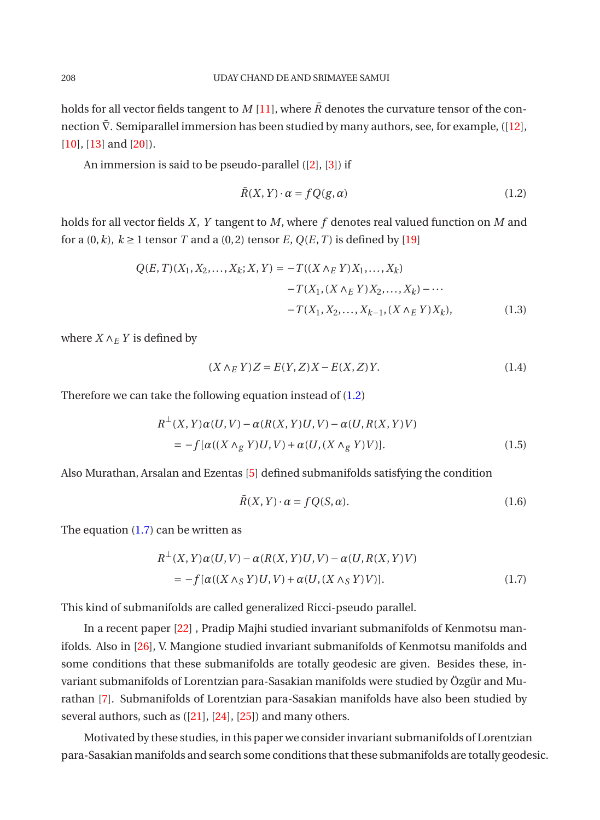holds for all vector fields tangent to *M* [\[11](#page-12-2)], where  $\overline{R}$  denotes the curvature tensor of the connection  $\bar{\nabla}$ . Semiparallel immersion has been studied by many authors, see, for example, ([\[12](#page-12-3)], [\[10](#page-12-4)], [\[13](#page-13-5)] and [\[20](#page-13-6)]).

An immersion is said to be pseudo-parallel ([\[2](#page-12-5)], [\[3](#page-12-6)]) if

<span id="page-1-0"></span>
$$
\bar{R}(X, Y) \cdot \alpha = fQ(g, \alpha) \tag{1.2}
$$

holds for all vector fields *X*, *Y* tangent to *M*, where *f* denotes real valued function on *M* and for a  $(0, k)$ ,  $k \ge 1$  tensor *T* and a  $(0, 2)$  tensor *E*,  $Q(E, T)$  is defined by [\[19\]](#page-13-7)

$$
Q(E, T)(X_1, X_2, ..., X_k; X, Y) = -T((X \wedge_E Y)X_1, ..., X_k) -T(X_1, (X \wedge_E Y)X_2, ..., X_k) - \cdots -T(X_1, X_2, ..., X_{k-1}, (X \wedge_E Y)X_k),
$$
(1.3)

where  $X \wedge_E Y$  is defined by

$$
(X \wedge_E Y)Z = E(Y, Z)X - E(X, Z)Y.
$$
\n
$$
(1.4)
$$

Therefore we can take the following equation instead of [\(1.2\)](#page-1-0)

$$
R^{\perp}(X, Y)\alpha(U, V) - \alpha(R(X, Y)U, V) - \alpha(U, R(X, Y)V)
$$
  
= 
$$
-f[\alpha((X \wedge_g Y)U, V) + \alpha(U, (X \wedge_g Y)V)].
$$
 (1.5)

Also Murathan, Arsalan and Ezentas [\[5\]](#page-12-7) defined submanifolds satisfying the condition

$$
\bar{R}(X, Y) \cdot \alpha = fQ(S, \alpha). \tag{1.6}
$$

The equation  $(1.7)$  can be written as

<span id="page-1-1"></span>
$$
R^{\perp}(X, Y)\alpha(U, V) - \alpha(R(X, Y)U, V) - \alpha(U, R(X, Y)V)
$$
  
= 
$$
-f[\alpha((X \wedge_S Y)U, V) + \alpha(U, (X \wedge_S Y)V)].
$$
 (1.7)

This kind of submanifolds are called generalized Ricci-pseudo parallel.

In a recent paper [\[22\]](#page-13-8) , Pradip Majhi studied invariant submanifolds of Kenmotsu manifolds. Also in [\[26\]](#page-13-9), V. Mangione studied invariant submanifolds of Kenmotsu manifolds and some conditions that these submanifolds are totally geodesic are given. Besides these, invariant submanifolds of Lorentzian para-Sasakian manifolds were studied by Özgür and Murathan [\[7\]](#page-12-8). Submanifolds of Lorentzian para-Sasakian manifolds have also been studied by several authors, such as ([\[21\]](#page-13-4), [\[24\]](#page-13-10), [\[25](#page-13-2)]) and many others.

Motivated by these studies, in this paper we consider invariant submanifolds of Lorentzian para-Sasakian manifolds and search some conditions that these submanifolds are totally geodesic.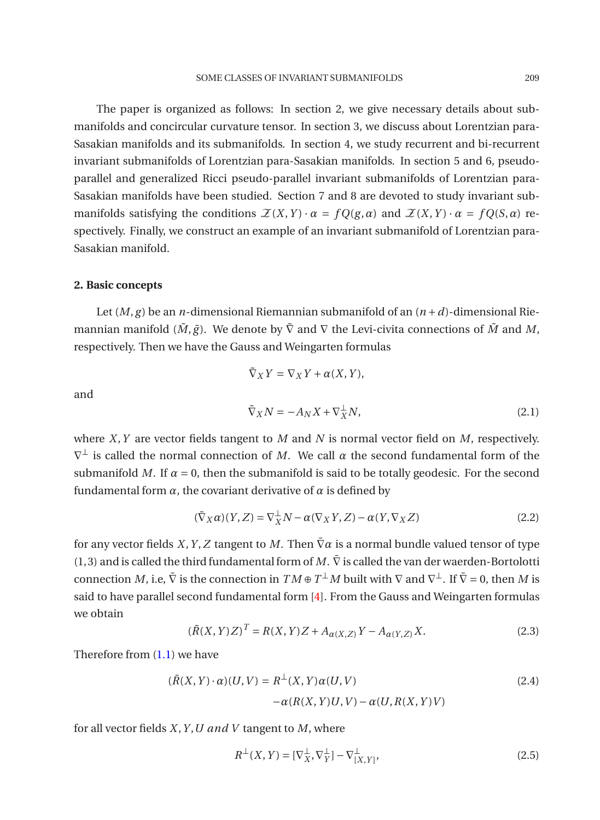The paper is organized as follows: In section 2, we give necessary details about submanifolds and concircular curvature tensor. In section 3, we discuss about Lorentzian para-Sasakian manifolds and its submanifolds. In section 4, we study recurrent and bi-recurrent invariant submanifolds of Lorentzian para-Sasakian manifolds. In section 5 and 6, pseudoparallel and generalized Ricci pseudo-parallel invariant submanifolds of Lorentzian para-Sasakian manifolds have been studied. Section 7 and 8 are devoted to study invariant submanifolds satisfying the conditions  $\mathcal{Z}(X,Y) \cdot \alpha = fQ(g,\alpha)$  and  $\mathcal{Z}(X,Y) \cdot \alpha = fQ(S,\alpha)$  respectively. Finally, we construct an example of an invariant submanifold of Lorentzian para-Sasakian manifold.

# **2. Basic concepts**

Let  $(M, g)$  be an *n*-dimensional Riemannian submanifold of an  $(n + d)$ -dimensional Riemannian manifold  $(\tilde{M}, \tilde{g})$ . We denote by  $\tilde{\nabla}$  and  $\nabla$  the Levi-civita connections of  $\tilde{M}$  and  $M$ , respectively. Then we have the Gauss and Weingarten formulas

$$
\tilde{\nabla}_X Y = \nabla_X Y + \alpha(X, Y),
$$
  
\n
$$
\tilde{\nabla}_X N = -A_N X + \nabla_X^{\perp} N,
$$
\n(2.1)

and

where *X*, *Y* are vector fields tangent to *M* and *N* is normal vector field on *M*, respectively. 
$$
\nabla^{\perp}
$$
 is called the normal connection of *M*. We call  $\alpha$  the second fundamental form of the submanifold *M*. If  $\alpha = 0$ , then the submanifold is said to be totally geodesic. For the second fundamental form  $\alpha$ , the covariant derivative of  $\alpha$  is defined by

$$
(\bar{\nabla}_X \alpha)(Y, Z) = \nabla_X^{\perp} N - \alpha(\nabla_X Y, Z) - \alpha(Y, \nabla_X Z)
$$
\n(2.2)

for any vector fields *X*, *Y*, *Z* tangent to *M*. Then  $\nabla \alpha$  is a normal bundle valued tensor of type (1,3) and is called the third fundamental form of  $M$ .  $\bar{\nabla}$  is called the van der waerden-Bortolotti connection *M*, i.e,  $\overline{V}$  is the connection in  $TM \oplus T^{\perp}M$  built with  $\nabla$  and  $\nabla^{\perp}$ . If  $\overline{V} = 0$ , then *M* is said to have parallel second fundamental form [\[4\]](#page-12-9). From the Gauss and Weingarten formulas we obtain

$$
(\tilde{R}(X, Y)Z)^{T} = R(X, Y)Z + A_{\alpha(X, Z)}Y - A_{\alpha(Y, Z)}X.
$$
\n(2.3)

Therefore from [\(1.1\)](#page-0-0) we have

<span id="page-2-0"></span>
$$
(\bar{R}(X, Y) \cdot \alpha)(U, V) = R^{\perp}(X, Y)\alpha(U, V)
$$
  
-\alpha(R(X, Y)U, V) - \alpha(U, R(X, Y)V) (2.4)

for all vector fields *X*,*Y* ,*U and V* tangent to *M*, where

$$
R^{\perp}(X,Y) = [\nabla_X^{\perp}, \nabla_Y^{\perp}] - \nabla_{[X,Y]}^{\perp},
$$
\n(2.5)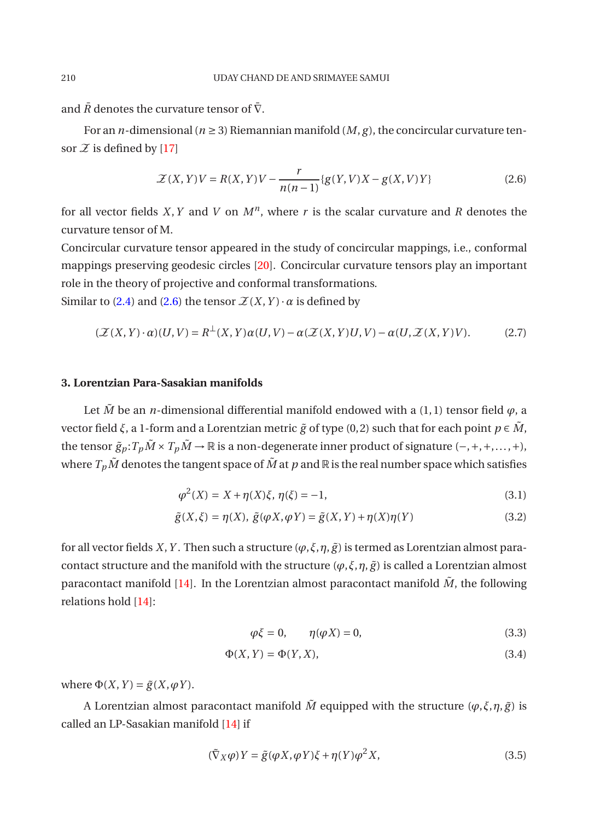and  $\bar{R}$  denotes the curvature tensor of  $\bar{\nabla}$ .

For an *n*-dimensional ( $n \geq 3$ ) Riemannian manifold (*M*, *g*), the concircular curvature tensor  $\mathcal Z$  is defined by [\[17](#page-13-11)]

<span id="page-3-0"></span>
$$
\mathcal{Z}(X,Y)V = R(X,Y)V - \frac{r}{n(n-1)}\{g(Y,V)X - g(X,V)Y\}
$$
\n(2.6)

for all vector fields *X*,*Y* and *V* on *M<sup>n</sup>* , where *r* is the scalar curvature and *R* denotes the curvature tensor of M.

Concircular curvature tensor appeared in the study of concircular mappings, i.e., conformal mappings preserving geodesic circles [\[20\]](#page-13-6). Concircular curvature tensors play an important role in the theory of projective and conformal transformations.

Similar to [\(2.4\)](#page-2-0) and [\(2.6\)](#page-3-0) the tensor  $\mathcal{Z}(X, Y) \cdot \alpha$  is defined by

$$
(\mathcal{Z}(X,Y)\cdot\alpha)(U,V) = R^{\perp}(X,Y)\alpha(U,V) - \alpha(\mathcal{Z}(X,Y)U,V) - \alpha(U,\mathcal{Z}(X,Y)V). \tag{2.7}
$$

# **3. Lorentzian Para-Sasakian manifolds**

Let  $\tilde{M}$  be an *n*-dimensional differential manifold endowed with a (1,1) tensor field  $\varphi$ , a vector field *ξ*, a 1-form and a Lorentzian metric  $\tilde{g}$  of type (0, 2) such that for each point *p* ∈  $\tilde{M}$ , the tensor  $\tilde{g}_p$ :  $T_p \tilde{M} \times T_p \tilde{M} \to \mathbb{R}$  is a non-degenerate inner product of signature (-, +, +,..., +), where  $T_p\tilde{M}$  denotes the tangent space of  $\tilde{M}$  at  $p$  and  $\mathbb R$  is the real number space which satisfies

$$
\varphi^2(X) = X + \eta(X)\xi, \ \eta(\xi) = -1,\tag{3.1}
$$

$$
\tilde{g}(X,\xi) = \eta(X), \ \tilde{g}(\varphi X, \varphi Y) = \tilde{g}(X,Y) + \eta(X)\eta(Y) \tag{3.2}
$$

for all vector fields *X*, *Y*. Then such a structure  $(\varphi, \xi, \eta, \tilde{g})$  is termed as Lorentzian almost paracontact structure and the manifold with the structure  $(\varphi, \xi, \eta, \tilde{g})$  is called a Lorentzian almost paracontact manifold  $[14]$  $[14]$ . In the Lorentzian almost paracontact manifold  $\tilde{M}$ , the following relations hold [\[14\]](#page-13-0):

$$
\varphi \xi = 0, \qquad \eta(\varphi X) = 0, \tag{3.3}
$$

$$
\Phi(X, Y) = \Phi(Y, X),\tag{3.4}
$$

where  $\Phi(X, Y) = \tilde{g}(X, \varphi Y)$ .

A Lorentzian almost paracontact manifold  $\tilde{M}$  equipped with the structure  $(\varphi, \xi, \eta, \tilde{g})$  is called an LP-Sasakian manifold [\[14\]](#page-13-0) if

$$
(\tilde{\nabla}_X \varphi) Y = \tilde{g}(\varphi X, \varphi Y) \xi + \eta(Y) \varphi^2 X,\tag{3.5}
$$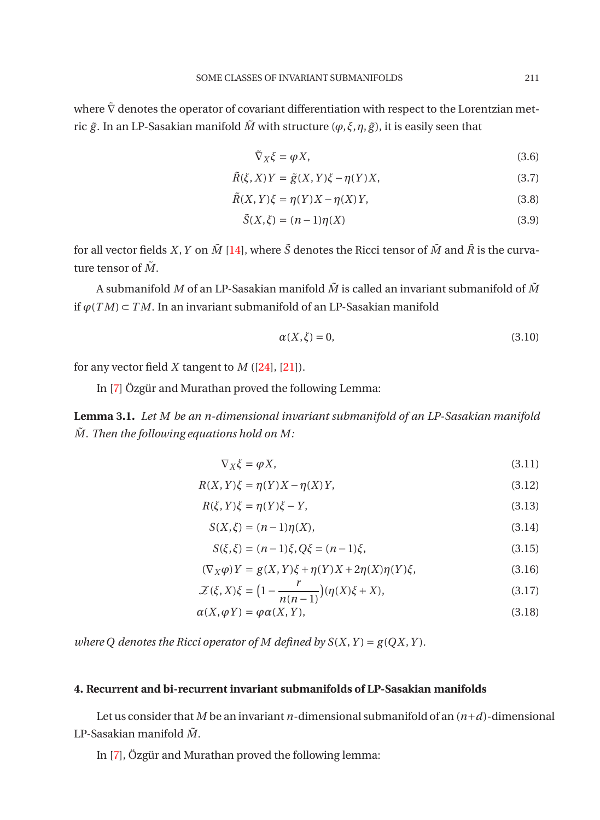where  $\tilde{\nabla}$  denotes the operator of covariant differentiation with respect to the Lorentzian metric  $\tilde{g}$ . In an LP-Sasakian manifold  $\tilde{M}$  with structure ( $\varphi$ , $\xi$ , $\eta$ , $\tilde{g}$ ), it is easily seen that

$$
\tilde{\nabla}_X \xi = \varphi X,\tag{3.6}
$$

$$
\tilde{R}(\xi, X)Y = \tilde{g}(X, Y)\xi - \eta(Y)X,\tag{3.7}
$$

$$
\tilde{R}(X,Y)\xi = \eta(Y)X - \eta(X)Y,\tag{3.8}
$$

$$
\tilde{S}(X,\xi) = (n-1)\eta(X) \tag{3.9}
$$

for all vector fields *X*, *Y* on  $\tilde{M}$  [\[14](#page-13-0)], where  $\tilde{S}$  denotes the Ricci tensor of  $\tilde{M}$  and  $\tilde{R}$  is the curvature tensor of  $\tilde{M}$ .

A submanifold *M* of an LP-Sasakian manifold *M*˜ is called an invariant submanifold of *M*˜ if *ϕ*(*T M*) ⊂ *T M*. In an invariant submanifold of an LP-Sasakian manifold

<span id="page-4-0"></span>
$$
\alpha(X,\xi) = 0,\tag{3.10}
$$

for any vector field *X* tangent to *M* ([\[24\]](#page-13-10), [\[21\]](#page-13-4)).

In [\[7](#page-12-8)] Özgür and Murathan proved the following Lemma:

**Lemma 3.1.** *Let M be an n-dimensional invariant submanifold of an LP-Sasakian manifold*  $\tilde{M}$ . Then the following equations hold on M:

<span id="page-4-1"></span>
$$
\nabla_X \xi = \varphi X,\tag{3.11}
$$

$$
R(X,Y)\xi = \eta(Y)X - \eta(X)Y,\tag{3.12}
$$

$$
R(\xi, Y)\xi = \eta(Y)\xi - Y,\tag{3.13}
$$

$$
S(X,\xi) = (n-1)\eta(X),
$$
\n(3.14)

$$
S(\xi, \xi) = (n-1)\xi, Q\xi = (n-1)\xi,
$$
\n(3.15)

$$
(\nabla_X \varphi) Y = g(X, Y)\xi + \eta(Y)X + 2\eta(X)\eta(Y)\xi, \tag{3.16}
$$

$$
\mathcal{Z}(\xi, X)\xi = \left(1 - \frac{r}{n(n-1)}\right)(\eta(X)\xi + X),\tag{3.17}
$$

$$
\alpha(X, \varphi Y) = \varphi \alpha(X, Y), \tag{3.18}
$$

*where Q denotes the Ricci operator of M defined by*  $S(X, Y) = g(QX, Y)$ *.* 

### **4. Recurrent and bi-recurrent invariant submanifolds of LP-Sasakian manifolds**

Let us consider that *M* be an invariant *n*-dimensional submanifold of an (*n*+*d*)-dimensional LP-Sasakian manifold  $\tilde{M}$ .

In [\[7](#page-12-8)], Özgür and Murathan proved the following lemma: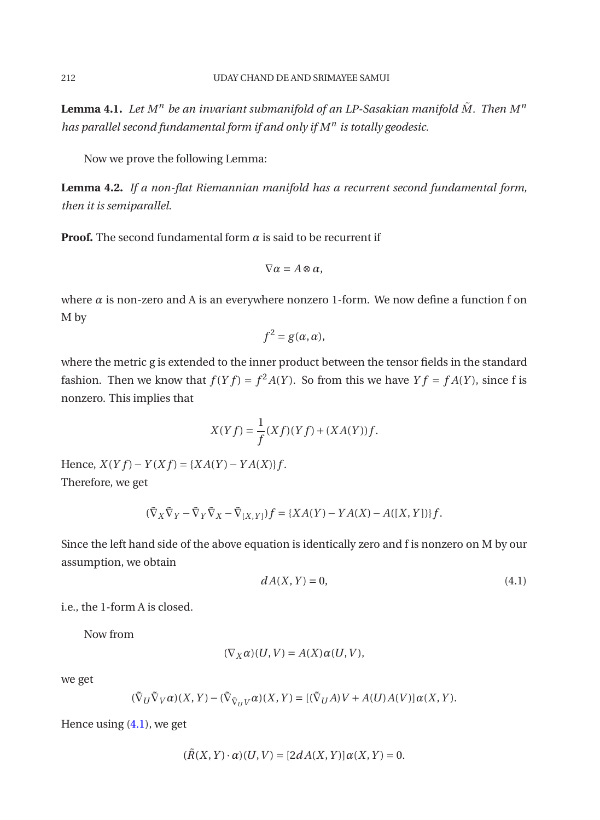**Lemma 4.1.** Let  $M^n$  be an invariant submanifold of an LP-Sasakian manifold  $\tilde{M}$ . Then  $M^n$ *has parallel second fundamental form if and only if M<sup>n</sup> is totally geodesic.*

Now we prove the following Lemma:

**Lemma 4.2.** *If a non-flat Riemannian manifold has a recurrent second fundamental form, then it is semiparallel.*

**Proof.** The second fundamental form  $\alpha$  is said to be recurrent if

$$
\nabla \alpha = A \otimes \alpha,
$$

where  $\alpha$  is non-zero and A is an everywhere nonzero 1-form. We now define a function f on M by

$$
f^2 = g(\alpha, \alpha),
$$

where the metric g is extended to the inner product between the tensor fields in the standard fashion. Then we know that  $f(Yf) = f^2A(Y)$ . So from this we have  $Yf = fA(Y)$ , since f is nonzero. This implies that

$$
X(Yf) = \frac{1}{f}(Xf)(Yf) + (XA(Y))f.
$$

 $Hence, X(Yf) - Y(Xf) = {XA(Y) - YA(X)}f.$ Therefore, we get

<span id="page-5-0"></span>
$$
(\tilde{\nabla}_X \tilde{\nabla}_Y - \tilde{\nabla}_Y \tilde{\nabla}_X - \tilde{\nabla}_{[X,Y]})f = \{XA(Y) - YA(X) - A([X,Y])\}f.
$$

Since the left hand side of the above equation is identically zero and f is nonzero on M by our assumption, we obtain

$$
dA(X,Y) = 0,\t\t(4.1)
$$

i.e., the 1-form A is closed.

Now from

$$
(\nabla_X\alpha)(U,V) = A(X)\alpha(U,V),
$$

we get

$$
(\tilde{\nabla}_U \tilde{\nabla}_V \alpha)(X, Y) - (\tilde{\nabla}_{\tilde{\nabla}_U V} \alpha)(X, Y) = [(\tilde{\nabla}_U A)V + A(U)A(V)]\alpha(X, Y).
$$

Hence using [\(4.1\)](#page-5-0), we get

$$
(\tilde{R}(X, Y) \cdot \alpha)(U, V) = [2dA(X, Y)]\alpha(X, Y) = 0.
$$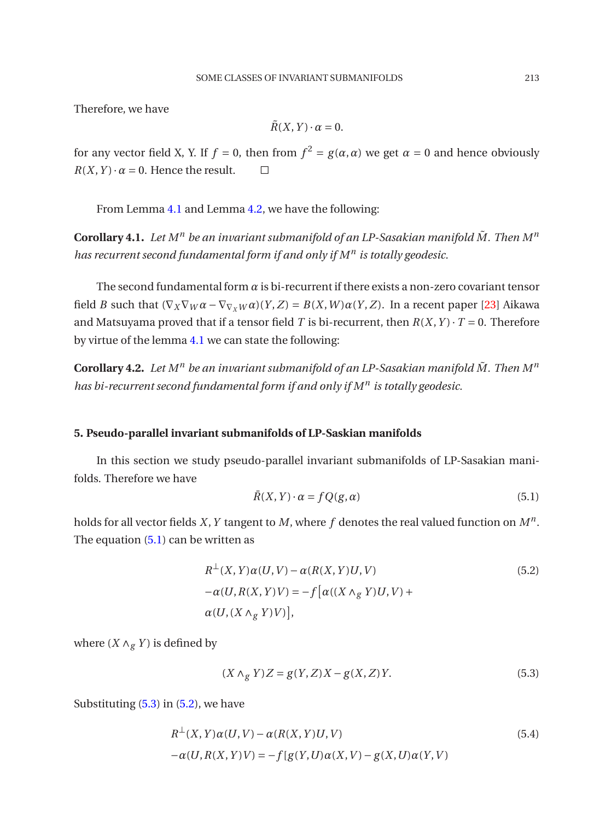Therefore, we have

$$
\tilde{R}(X,Y)\cdot\alpha=0.
$$

for any vector field X, Y. If  $f = 0$ , then from  $f^2 = g(\alpha, \alpha)$  we get  $\alpha = 0$  and hence obviously  $R(X, Y) \cdot \alpha = 0$ . Hence the result.  $\square$ 

<span id="page-6-0"></span>From Lemma [4.1](#page-6-0) and Lemma [4.2,](#page-6-1) we have the following:

**Corollary 4.1.** Let  $M^n$  be an invariant submanifold of an LP-Sasakian manifold  $\tilde{M}$ . Then  $M^n$ *has recurrent second fundamental form if and only if M<sup>n</sup> is totally geodesic.*

The second fundamental form *α* is bi-recurrent if there exists a non-zero covariant tensor field *B* such that  $(\nabla_X \nabla_W \alpha - \nabla_{\nabla_X W} \alpha)(Y, Z) = B(X, W) \alpha(Y, Z)$ . In a recent paper [\[23\]](#page-13-12) Aikawa and Matsuyama proved that if a tensor field *T* is bi-recurrent, then  $R(X, Y) \cdot T = 0$ . Therefore by virtue of the lemma [4.1](#page-6-0) we can state the following:

<span id="page-6-1"></span>**Corollary 4.2.** Let  $M^n$  be an invariant submanifold of an LP-Sasakian manifold  $\tilde{M}$ . Then  $M^n$ *has bi-recurrent second fundamental form if and only if M<sup>n</sup> is totally geodesic.*

## **5. Pseudo-parallel invariant submanifolds of LP-Saskian manifolds**

In this section we study pseudo-parallel invariant submanifolds of LP-Sasakian manifolds. Therefore we have

<span id="page-6-2"></span>
$$
\bar{R}(X,Y) \cdot \alpha = fQ(g,\alpha) \tag{5.1}
$$

holds for all vector fields *X*,*Y* tangent to *M*, where *f* denotes the real valued function on *M<sup>n</sup>* . The equation [\(5.1\)](#page-6-2) can be written as

<span id="page-6-4"></span>
$$
R^{\perp}(X, Y)\alpha(U, V) - \alpha(R(X, Y)U, V)
$$
  
\n
$$
-\alpha(U, R(X, Y)V) = -f[\alpha((X \wedge_{g} Y)U, V) +
$$
  
\n
$$
\alpha(U, (X \wedge_{g} Y)V)],
$$
\n(5.2)

where  $(X \wedge_g Y)$  is defined by

<span id="page-6-3"></span>
$$
(X \wedge_g Y)Z = g(Y, Z)X - g(X, Z)Y.
$$
\n
$$
(5.3)
$$

Substituting  $(5.3)$  in  $(5.2)$ , we have

<span id="page-6-5"></span>
$$
R^{\perp}(X,Y)\alpha(U,V) - \alpha(R(X,Y)U,V)
$$
\n
$$
-\alpha(U,R(X,Y)V) = -f[g(Y,U)\alpha(X,V) - g(X,U)\alpha(Y,V)
$$
\n(5.4)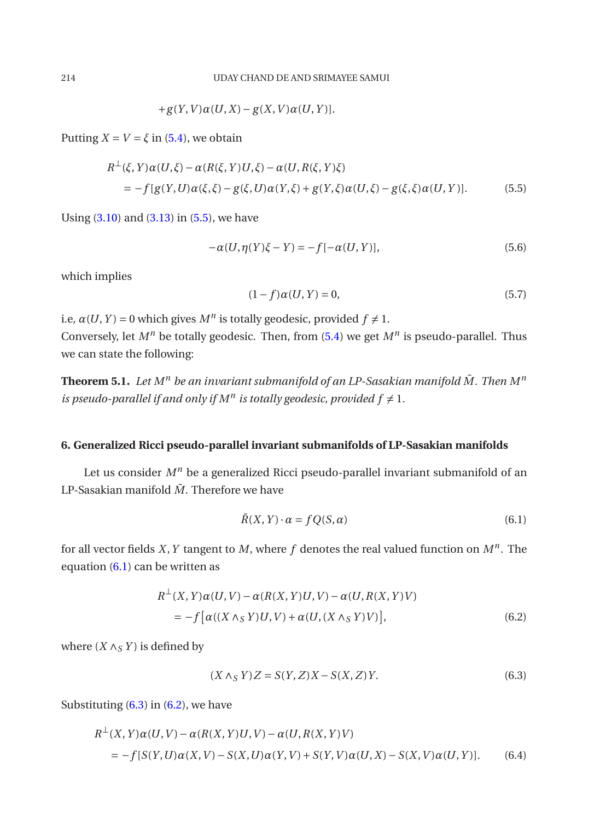$$
+g(Y,V)\alpha(U,X)-g(X,V)\alpha(U,Y)].
$$

Putting  $X = V = \xi$  in [\(5.4\)](#page-6-5), we obtain

<span id="page-7-0"></span>
$$
R^{\perp}(\xi, Y)\alpha(U, \xi) - \alpha(R(\xi, Y)U, \xi) - \alpha(U, R(\xi, Y)\xi)
$$
  
= 
$$
-f[g(Y, U)\alpha(\xi, \xi) - g(\xi, U)\alpha(Y, \xi) + g(Y, \xi)\alpha(U, \xi) - g(\xi, \xi)\alpha(U, Y)].
$$
 (5.5)

Using  $(3.10)$  and  $(3.13)$  in  $(5.5)$ , we have

$$
-\alpha(U, \eta(Y)\xi - Y) = -f[-\alpha(U, Y)],
$$
\n(5.6)

which implies

$$
(1 - f)\alpha(U, Y) = 0,\t(5.7)
$$

i.e,  $\alpha(U, Y) = 0$  which gives  $M^n$  is totally geodesic, provided  $f \neq 1$ . Conversely, let *M<sup>n</sup>* be totally geodesic. Then, from [\(5.4\)](#page-6-5) we get *M<sup>n</sup>* is pseudo-parallel. Thus we can state the following:

<span id="page-7-5"></span>**Theorem 5.1.** Let  $M^n$  be an invariant submanifold of an LP-Sasakian manifold  $\tilde{M}$ . Then  $M^n$ *is pseudo-parallel if and only if*  $M^n$  *is totally geodesic, provided*  $f \neq 1$ *.* 

# **6. Generalized Ricci pseudo-parallel invariant submanifolds of LP-Sasakian manifolds**

Let us consider  $M^n$  be a generalized Ricci pseudo-parallel invariant submanifold of an LP-Sasakian manifold  $\tilde{M}$ . Therefore we have

<span id="page-7-1"></span>
$$
\bar{R}(X, Y) \cdot \alpha = fQ(S, \alpha) \tag{6.1}
$$

for all vector fields *X*,*Y* tangent to *M*, where *f* denotes the real valued function on *M<sup>n</sup>* . The equation [\(6.1\)](#page-7-1) can be written as

<span id="page-7-3"></span>
$$
R^{\perp}(X,Y)\alpha(U,V) - \alpha(R(X,Y)U,V) - \alpha(U,R(X,Y)V)
$$
  
= 
$$
-f[\alpha((X \wedge_S Y)U,V) + \alpha(U,(X \wedge_S Y)V)],
$$
 (6.2)

where  $(X \wedge_S Y)$  is defined by

<span id="page-7-2"></span>
$$
(X \wedge_S Y)Z = S(Y, Z)X - S(X, Z)Y.
$$
\n
$$
(6.3)
$$

Substituting  $(6.3)$  in  $(6.2)$ , we have

<span id="page-7-4"></span>
$$
R^{\perp}(X, Y)\alpha(U, V) - \alpha(R(X, Y)U, V) - \alpha(U, R(X, Y)V)
$$
  
=  $-f[S(Y, U)\alpha(X, V) - S(X, U)\alpha(Y, V) + S(Y, V)\alpha(U, X) - S(X, V)\alpha(U, Y)].$  (6.4)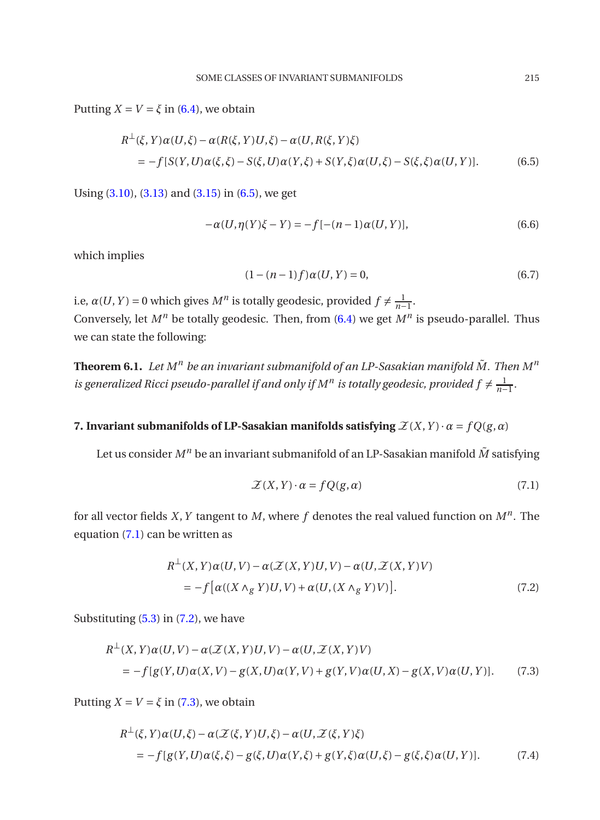Putting  $X = V = \xi$  in [\(6.4\)](#page-7-4), we obtain

<span id="page-8-0"></span>
$$
R^{\perp}(\xi, Y)\alpha(U,\xi) - \alpha(R(\xi, Y)U,\xi) - \alpha(U,R(\xi, Y)\xi)
$$
  
= 
$$
-f[S(Y,U)\alpha(\xi,\xi) - S(\xi,U)\alpha(Y,\xi) + S(Y,\xi)\alpha(U,\xi) - S(\xi,\xi)\alpha(U,Y)].
$$
 (6.5)

Using [\(3.10\)](#page-4-0), [\(3.13\)](#page-4-1) and [\(3.15\)](#page-4-1) in [\(6.5\)](#page-8-0), we get

$$
-\alpha(U, \eta(Y)\xi - Y) = -f[-(n-1)\alpha(U, Y)],
$$
\n(6.6)

which implies

$$
(1 - (n - 1)f)\alpha(U, Y) = 0,\t(6.7)
$$

i.e,  $\alpha(U, Y) = 0$  which gives  $M^n$  is totally geodesic, provided  $f \neq \frac{1}{n-1}$ . Conversely, let *M<sup>n</sup>* be totally geodesic. Then, from [\(6.4\)](#page-7-4) we get *M<sup>n</sup>* is pseudo-parallel. Thus we can state the following:

**Theorem 6.1.** Let  $M^n$  be an invariant submanifold of an LP-Sasakian manifold  $\tilde{M}$ . Then  $M^n$ *is generalized Ricci pseudo-parallel if and only if*  $M^n$  *is totally geodesic, provided*  $f \neq \frac{1}{n-1}$ *.* 

# **7. Invariant submanifolds of LP-Sasakian manifolds satisfying**  $\mathcal{Z}(X, Y) \cdot \alpha = fQ(g, \alpha)$

Let us consider  $M^n$  be an invariant submanifold of an LP-Sasakian manifold  $\tilde{M}$  satisfying

<span id="page-8-1"></span>
$$
\mathcal{Z}(X,Y) \cdot \alpha = fQ(g,\alpha) \tag{7.1}
$$

for all vector fields *X*,*Y* tangent to *M*, where *f* denotes the real valued function on *M<sup>n</sup>* . The equation [\(7.1\)](#page-8-1) can be written as

<span id="page-8-2"></span>
$$
R^{\perp}(X, Y)\alpha(U, V) - \alpha(\mathcal{Z}(X, Y)U, V) - \alpha(U, \mathcal{Z}(X, Y)V)
$$
  
= 
$$
-f[\alpha((X \wedge_{g} Y)U, V) + \alpha(U, (X \wedge_{g} Y)V)].
$$
 (7.2)

Substituting  $(5.3)$  in  $(7.2)$ , we have

<span id="page-8-3"></span>
$$
R^{\perp}(X,Y)\alpha(U,V) - \alpha(\mathcal{Z}(X,Y)U,V) - \alpha(U,\mathcal{Z}(X,Y)V)
$$
  
= 
$$
-f[g(Y,U)\alpha(X,V) - g(X,U)\alpha(Y,V) + g(Y,V)\alpha(U,X) - g(X,V)\alpha(U,Y)].
$$
 (7.3)

Putting  $X = V = \xi$  in [\(7.3\)](#page-8-3), we obtain

<span id="page-8-4"></span>
$$
R^{\perp}(\xi, Y)\alpha(U,\xi) - \alpha(\mathcal{Z}(\xi, Y)U,\xi) - \alpha(U,\mathcal{Z}(\xi, Y)\xi)
$$
  
= 
$$
-f[g(Y,U)\alpha(\xi,\xi) - g(\xi,U)\alpha(Y,\xi) + g(Y,\xi)\alpha(U,\xi) - g(\xi,\xi)\alpha(U,Y)].
$$
 (7.4)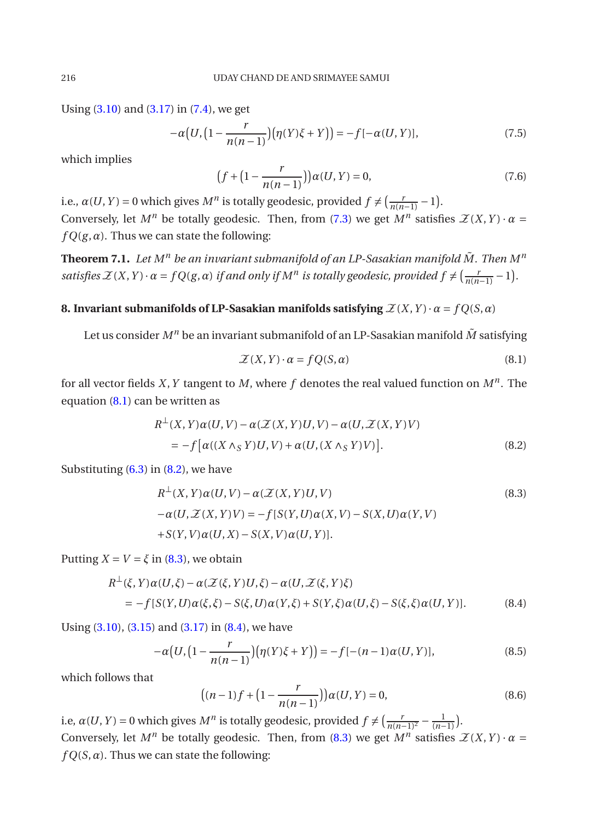Using  $(3.10)$  and  $(3.17)$  in  $(7.4)$ , we get

$$
-\alpha\big(U, \big(1 - \frac{r}{n(n-1)}\big)\big(\eta(Y)\xi + Y\big)\big) = -f[-\alpha(U, Y)],\tag{7.5}
$$

which implies

$$
(f + (1 - \frac{r}{n(n-1)}))\alpha(U, Y) = 0,
$$
\n(7.6)

i.e.,  $\alpha(U, Y) = 0$  which gives  $M^n$  is totally geodesic, provided  $f \neq \left(\frac{r}{n(n-1)} - 1\right)$ . Conversely, let  $M^n$  be totally geodesic. Then, from [\(7.3\)](#page-8-3) we get  $M^n$  satisfies  $\mathcal{Z}(X,Y) \cdot \alpha =$  $fQ(g, \alpha)$ . Thus we can state the following:

**Theorem 7.1.** Let  $M^n$  be an invariant submanifold of an LP-Sasakian manifold  $\tilde{M}$ . Then  $M^n$ *satisfies*  $\mathcal{Z}(X, Y) \cdot \alpha = fQ(g, \alpha)$  *if and only if*  $M^n$  *is totally geodesic, provided*  $f \neq (\frac{r}{n(n-1)} - 1)$ *.* 

# **8. Invariant submanifolds of LP-Sasakian manifolds satisfying**  $\mathcal{Z}(X, Y) \cdot \alpha = f(Q(S, \alpha))$

Let us consider  $M^n$  be an invariant submanifold of an LP-Sasakian manifold  $\tilde{M}$  satisfying

<span id="page-9-0"></span>
$$
\mathcal{Z}(X,Y) \cdot \alpha = fQ(S,\alpha) \tag{8.1}
$$

for all vector fields *X*,*Y* tangent to *M*, where *f* denotes the real valued function on *M<sup>n</sup>* . The equation [\(8.1\)](#page-9-0) can be written as

<span id="page-9-1"></span>
$$
R^{\perp}(X,Y)\alpha(U,V) - \alpha(\mathcal{Z}(X,Y)U,V) - \alpha(U,\mathcal{Z}(X,Y)V)
$$
  
= 
$$
-f[\alpha((X \wedge_S Y)U,V) + \alpha(U,(X \wedge_S Y)V)].
$$
 (8.2)

Substituting  $(6.3)$  in  $(8.2)$ , we have

<span id="page-9-2"></span>
$$
R^{\perp}(X, Y)\alpha(U, V) - \alpha(\mathcal{Z}(X, Y)U, V)
$$
\n
$$
-\alpha(U, \mathcal{Z}(X, Y)V) = -f[S(Y, U)\alpha(X, V) - S(X, U)\alpha(Y, V)
$$
\n
$$
+S(Y, V)\alpha(U, X) - S(X, V)\alpha(U, Y)].
$$
\n(8.3)

Putting  $X = V = \xi$  in [\(8.3\)](#page-9-2), we obtain

<span id="page-9-3"></span>
$$
R^{\perp}(\xi, Y)\alpha(U, \xi) - \alpha(\mathcal{Z}(\xi, Y)U, \xi) - \alpha(U, \mathcal{Z}(\xi, Y)\xi)
$$
  
= 
$$
-f[S(Y, U)\alpha(\xi, \xi) - S(\xi, U)\alpha(Y, \xi) + S(Y, \xi)\alpha(U, \xi) - S(\xi, \xi)\alpha(U, Y)].
$$
 (8.4)

Using  $(3.10)$ ,  $(3.15)$  and  $(3.17)$  in  $(8.4)$ , we have

$$
-\alpha\big(U,\big(1-\frac{r}{n(n-1)}\big)\big(\eta(Y)\xi+Y\big)\big)=-f[-(n-1)\alpha(U,Y)],\tag{8.5}
$$

which follows that

$$
((n-1)f + (1 - \frac{r}{n(n-1)}))\alpha(U, Y) = 0,
$$
\n(8.6)

<span id="page-9-4"></span>i.e,  $\alpha(U, Y) = 0$  which gives  $M^n$  is totally geodesic, provided  $f \neq \left(\frac{r}{n(n-1)^2} - \frac{1}{(n-1)}\right)$ . Conversely, let  $M^n$  be totally geodesic. Then, from [\(8.3\)](#page-9-2) we get  $M^n$  satisfies  $\mathcal{Z}(X,Y) \cdot \alpha =$  $fQ(S, \alpha)$ . Thus we can state the following: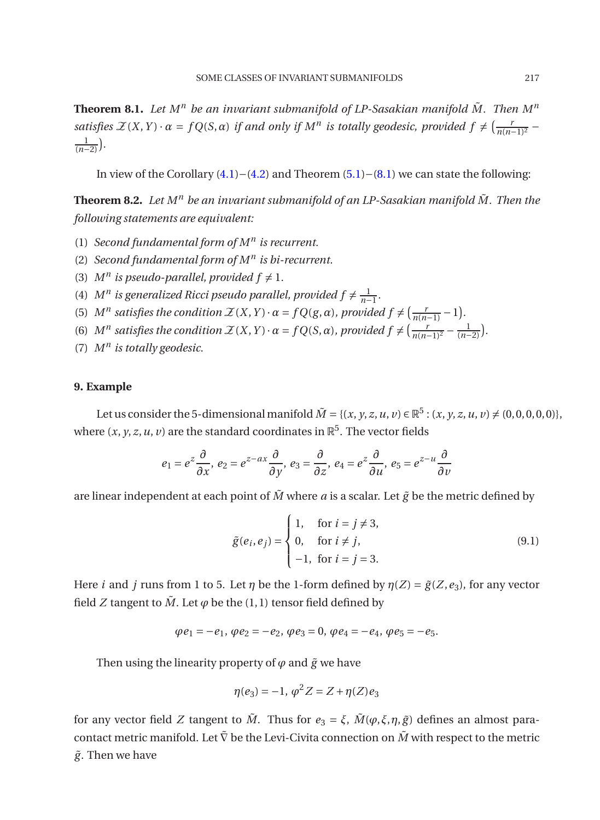**Theorem 8.1.** Let  $M^n$  be an invariant submanifold of LP-Sasakian manifold  $\tilde{M}$ . Then  $M^n$ *satisfies*  $\mathcal{Z}(X, Y) \cdot \alpha = fQ(S, \alpha)$  *if and only if*  $M^n$  *is totally geodesic, provided*  $f \neq \left(\frac{r}{n(n-1)^2} - \frac{r}{n(n-1)^2}\right)$  $\frac{1}{(n-2)}$ ).

In view of the Corollary [\(4.1\)](#page-6-0)−[\(4.2\)](#page-6-1) and Theorem [\(5.1\)](#page-7-5)−[\(8.1\)](#page-9-4) we can state the following:

**Theorem 8.2.** Let  $M^n$  be an invariant submanifold of an LP-Sasakian manifold  $\tilde{M}$ . Then the *following statements are equivalent:*

- (1) *Second fundamental form of M<sup>n</sup> is recurrent.*
- (2) *Second fundamental form of M<sup>n</sup> is bi-recurrent.*
- (3)  $M^n$  is pseudo-parallel, provided  $f \neq 1$ .
- (4)  $M^n$  is generalized Ricci pseudo parallel, provided  $f \neq \frac{1}{n-1}$ .
- (5)  $M^n$  satisfies the condition  $\mathcal{Z}(X, Y) \cdot \alpha = fQ(g, \alpha)$ , provided  $f \neq \left(\frac{r}{n(n-1)} 1\right)$ .
- (6)  $M^n$  satisfies the condition  $\mathcal{Z}(X, Y) \cdot \alpha = f(Q(S, \alpha))$ , provided  $f \neq \left(\frac{r}{n(n-1)^2} \frac{1}{(n-2)}\right)$ .
- (7) *M<sup>n</sup> is totally geodesic.*

# **9. Example**

Let us consider the 5-dimensional manifold  $\tilde{M} = \{(x, y, z, u, v) \in \mathbb{R}^5 : (x, y, z, u, v) \neq (0, 0, 0, 0, 0)\},$ where  $(x, y, z, u, v)$  are the standard coordinates in  $\mathbb{R}^5$ . The vector fields

$$
e_1 = e^z \frac{\partial}{\partial x}, \ e_2 = e^{z - ax} \frac{\partial}{\partial y}, \ e_3 = \frac{\partial}{\partial z}, \ e_4 = e^z \frac{\partial}{\partial u}, \ e_5 = e^{z - u} \frac{\partial}{\partial v}
$$

are linear independent at each point of  $\tilde{M}$  where  $a$  is a scalar. Let  $\tilde{g}$  be the metric defined by

$$
\tilde{g}(e_i, e_j) = \begin{cases}\n1, & \text{for } i = j \neq 3, \\
0, & \text{for } i \neq j, \\
-1, & \text{for } i = j = 3.\n\end{cases}
$$
\n(9.1)

Here *i* and *j* runs from 1 to 5. Let *η* be the 1-form defined by  $\eta(Z) = \tilde{g}(Z, e_3)$ , for any vector field *Z* tangent to  $\tilde{M}$ . Let  $\varphi$  be the (1, 1) tensor field defined by

$$
\varphi e_1 = -e_1, \, \varphi e_2 = -e_2, \, \varphi e_3 = 0, \, \varphi e_4 = -e_4, \, \varphi e_5 = -e_5.
$$

Then using the linearity property of  $\varphi$  and  $\tilde{g}$  we have

$$
\eta(e_3) = -1, \, \varphi^2 Z = Z + \eta(Z)e_3
$$

for any vector field *Z* tangent to  $\tilde{M}$ . Thus for  $e_3 = \xi$ ,  $\tilde{M}(\varphi, \xi, \eta, \tilde{g})$  defines an almost paracontact metric manifold. Let  $\tilde{\nabla}$  be the Levi-Civita connection on  $\tilde{M}$  with respect to the metric  $\tilde{g}$ . Then we have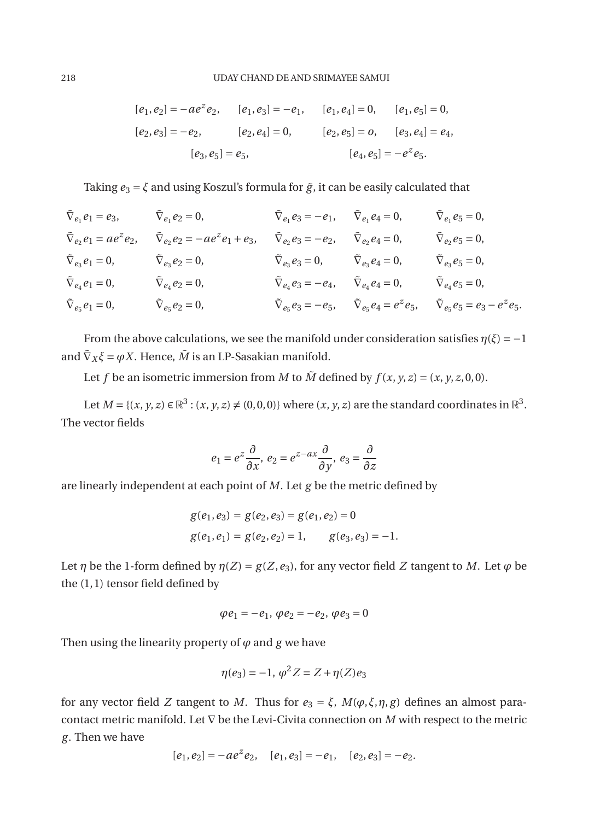$$
[e_1, e_2] = -ae^z e_2, \t [e_1, e_3] = -e_1, \t [e_1, e_4] = 0, \t [e_1, e_5] = 0,
$$
  

$$
[e_2, e_3] = -e_2, \t [e_2, e_4] = 0, \t [e_2, e_5] = 0, \t [e_3, e_4] = e_4,
$$
  

$$
[e_3, e_5] = e_5, \t [e_4, e_5] = -e^z e_5.
$$

Taking  $e_3 = \xi$  and using Koszul's formula for  $\tilde{g}$ , it can be easily calculated that

$$
\begin{aligned}\n\tilde{\nabla}_{e_1} e_1 &= e_3, & \tilde{\nabla}_{e_1} e_2 &= 0, & \tilde{\nabla}_{e_1} e_3 &= -e_1, & \tilde{\nabla}_{e_1} e_4 &= 0, & \tilde{\nabla}_{e_1} e_5 &= 0, \\
\tilde{\nabla}_{e_2} e_1 &= a e^z e_2, & \tilde{\nabla}_{e_2} e_2 &= -a e^z e_1 + e_3, & \tilde{\nabla}_{e_2} e_3 &= -e_2, & \tilde{\nabla}_{e_2} e_4 &= 0, & \tilde{\nabla}_{e_2} e_5 &= 0, \\
\tilde{\nabla}_{e_3} e_1 &= 0, & \tilde{\nabla}_{e_3} e_2 &= 0, & \tilde{\nabla}_{e_3} e_3 &= 0, & \tilde{\nabla}_{e_4} e_3 &= -e_4, & \tilde{\nabla}_{e_4} e_4 &= 0, & \tilde{\nabla}_{e_4} e_5 &= 0, \\
\tilde{\nabla}_{e_4} e_1 &= 0, & \tilde{\nabla}_{e_4} e_2 &= 0, & \tilde{\nabla}_{e_4} e_3 &= -e_4, & \tilde{\nabla}_{e_4} e_4 &= 0, & \tilde{\nabla}_{e_4} e_5 &= 0, \\
\tilde{\nabla}_{e_5} e_1 &= 0, & \tilde{\nabla}_{e_5} e_2 &= 0, & \tilde{\nabla}_{e_5} e_3 &= -e_5, & \tilde{\nabla}_{e_5} e_4 &= e^z e_5, & \tilde{\nabla}_{e_5} e_5 &= e_3 - e^z e_5.\n\end{aligned}
$$

From the above calculations, we see the manifold under consideration satisfies  $\eta(\xi) = -1$ and  $\tilde{\nabla}_X \xi = \varphi X$ . Hence,  $\tilde{M}$  is an LP-Sasakian manifold.

Let *f* be an isometric immersion from *M* to  $\tilde{M}$  defined by  $f(x, y, z) = (x, y, z, 0, 0)$ .

Let  $M = \{(x, y, z) \in \mathbb{R}^3 : (x, y, z) \neq (0, 0, 0)\}$  where  $(x, y, z)$  are the standard coordinates in  $\mathbb{R}^3$ . The vector fields

$$
e_1 = e^z \frac{\partial}{\partial x}, \ e_2 = e^{z - ax} \frac{\partial}{\partial y}, \ e_3 = \frac{\partial}{\partial z}
$$

are linearly independent at each point of *M*. Let *g* be the metric defined by

$$
g(e_1, e_3) = g(e_2, e_3) = g(e_1, e_2) = 0
$$
  
 
$$
g(e_1, e_1) = g(e_2, e_2) = 1, \qquad g(e_3, e_3) = -1.
$$

Let *η* be the 1-form defined by  $\eta(Z) = g(Z, e_3)$ , for any vector field *Z* tangent to *M*. Let  $\varphi$  be the (1,1) tensor field defined by

$$
\varphi e_1 = -e_1, \, \varphi e_2 = -e_2, \, \varphi e_3 = 0
$$

Then using the linearity property of  $\varphi$  and  $\varphi$  we have

$$
\eta(e_3) = -1, \, \varphi^2 Z = Z + \eta(Z)e_3
$$

for any vector field *Z* tangent to *M*. Thus for  $e_3 = \xi$ ,  $M(\varphi, \xi, \eta, g)$  defines an almost paracontact metric manifold. Let ∇ be the Levi-Civita connection on *M* with respect to the metric *g*. Then we have

$$
[e_1, e_2] = -ae^z e_2
$$
,  $[e_1, e_3] = -e_1$ ,  $[e_2, e_3] = -e_2$ .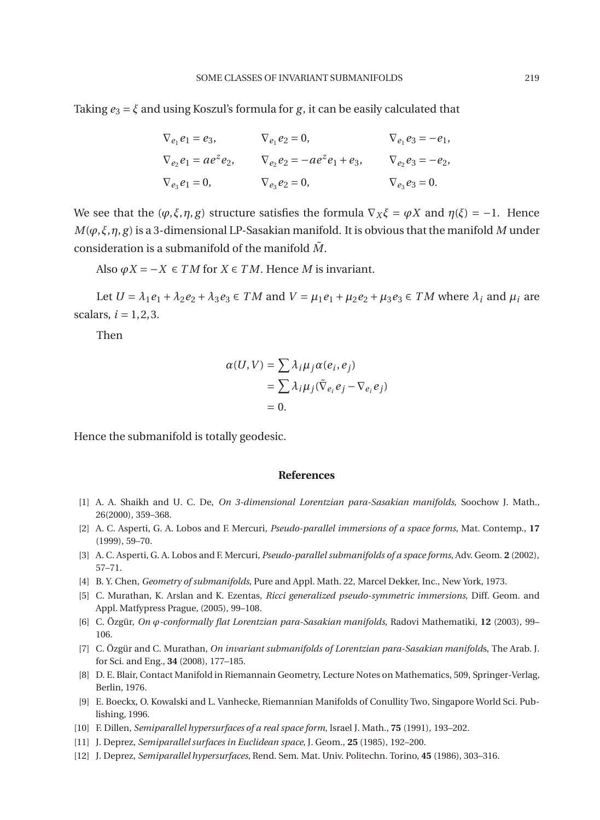Taking  $e_3 = \xi$  and using Koszul's formula for *g*, it can be easily calculated that

$$
\nabla_{e_1} e_1 = e_3, \qquad \nabla_{e_1} e_2 = 0, \qquad \nabla_{e_1} e_3 = -e_1,
$$
  
\n
$$
\nabla_{e_2} e_1 = a e^z e_2, \qquad \nabla_{e_2} e_2 = -a e^z e_1 + e_3, \qquad \nabla_{e_2} e_3 = -e_2,
$$
  
\n
$$
\nabla_{e_3} e_1 = 0, \qquad \nabla_{e_3} e_2 = 0, \qquad \nabla_{e_3} e_3 = 0.
$$

We see that the  $(\varphi, \xi, \eta, g)$  structure satisfies the formula  $\nabla_X \xi = \varphi X$  and  $\eta(\xi) = -1$ . Hence  $M(\varphi, \xi, \eta, g)$  is a 3-dimensional LP-Sasakian manifold. It is obvious that the manifold M under consideration is a submanifold of the manifold  $\tilde{M}$ .

Also  $\varphi X = -X \in TM$  for  $X \in TM$ . Hence *M* is invariant.

Let  $U = \lambda_1 e_1 + \lambda_2 e_2 + \lambda_3 e_3 \in TM$  and  $V = \mu_1 e_1 + \mu_2 e_2 + \mu_3 e_3 \in TM$  where  $\lambda_i$  and  $\mu_i$  are scalars,  $i = 1, 2, 3$ .

Then

$$
\alpha(U,V) = \sum \lambda_i \mu_j \alpha(e_i, e_j)
$$
  
= 
$$
\sum \lambda_i \mu_j (\tilde{\nabla}_{e_i} e_j - \nabla_{e_i} e_j)
$$
  
= 0.

Hence the submanifold is totally geodesic.

#### **References**

- <span id="page-12-1"></span>[1] A. A. Shaikh and U. C. De, *On 3-dimensional Lorentzian para-Sasakian manifolds*, Soochow J. Math., 26(2000), 359–368.
- <span id="page-12-5"></span>[2] A. C. Asperti, G. A. Lobos and F. Mercuri, *Pseudo-parallel immersions of a space forms*, Mat. Contemp., **17** (1999), 59–70.
- <span id="page-12-6"></span>[3] A. C. Asperti, G. A. Lobos and F. Mercuri, *Pseudo-parallel submanifolds of a space forms*, Adv. Geom. **2** (2002), 57–71.
- <span id="page-12-9"></span>[4] B. Y. Chen, *Geometry of submanifolds*, Pure and Appl. Math. 22, Marcel Dekker, Inc., New York, 1973.
- <span id="page-12-7"></span>[5] C. Murathan, K. Arslan and K. Ezentas, *Ricci generalized pseudo-symmetric immersions*, Diff. Geom. and Appl. Matfypress Prague, (2005), 99–108.
- <span id="page-12-0"></span>[6] C. Özgür, *On ϕ-conformally flat Lorentzian para-Sasakian manifolds*, Radovi Mathematiki, **12** (2003), 99– 106.
- <span id="page-12-8"></span>[7] C. Özgür and C. Murathan, *On invariant submanifolds of Lorentzian para-Sasakian manifold*s, The Arab. J. for Sci. and Eng., **34** (2008), 177–185.
- [8] D. E. Blair, Contact Manifold in Riemannain Geometry, Lecture Notes on Mathematics, 509, Springer-Verlag, Berlin, 1976.
- [9] E. Boeckx, O. Kowalski and L. Vanhecke, Riemannian Manifolds of Conullity Two, Singapore World Sci. Publishing, 1996.
- <span id="page-12-4"></span>[10] F. Dillen, *Semiparallel hypersurfaces of a real space form*, Israel J. Math., **75** (1991), 193–202.
- <span id="page-12-2"></span>[11] J. Deprez, *Semiparallel surfaces in Euclidean space*, J. Geom., **25** (1985), 192–200.
- <span id="page-12-3"></span>[12] J. Deprez, *Semiparallel hypersurfaces*, Rend. Sem. Mat. Univ. Politechn. Torino, **45** (1986), 303–316.